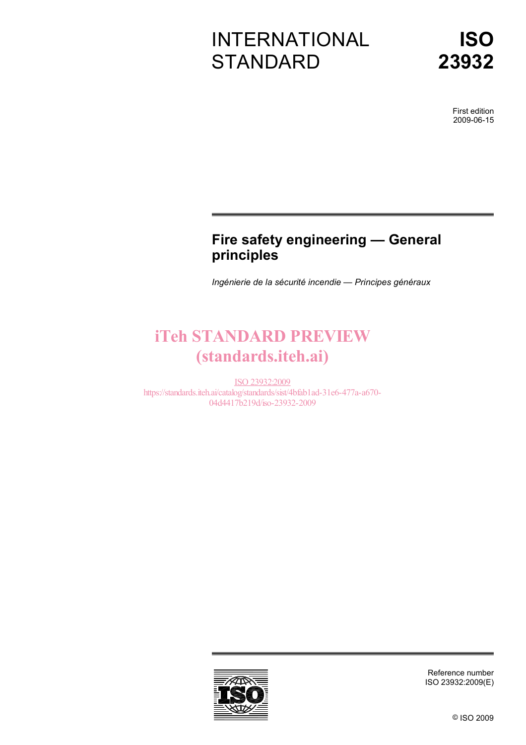# INTERNATIONAL **STANDARD**

First edition 2009-06-15

# **Fire safety engineering — General principles**

*Ingénierie de la sécurité incendie — Principes généraux* 

# iTeh STANDARD PREVIEW (standards.iteh.ai)

ISO 23932:2009 https://standards.iteh.ai/catalog/standards/sist/4bfab1ad-31e6-477a-a670- 04d4417b219d/iso-23932-2009



Reference number ISO 23932:2009(E)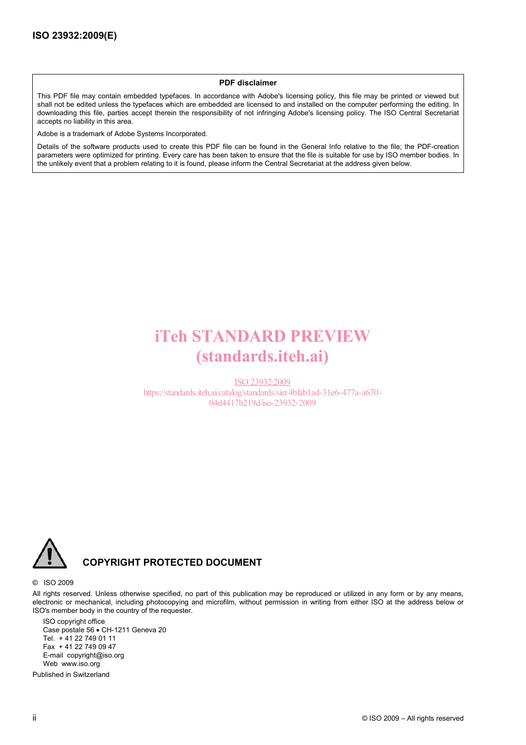#### **PDF disclaimer**

This PDF file may contain embedded typefaces. In accordance with Adobe's licensing policy, this file may be printed or viewed but shall not be edited unless the typefaces which are embedded are licensed to and installed on the computer performing the editing. In downloading this file, parties accept therein the responsibility of not infringing Adobe's licensing policy. The ISO Central Secretariat accepts no liability in this area.

Adobe is a trademark of Adobe Systems Incorporated.

Details of the software products used to create this PDF file can be found in the General Info relative to the file; the PDF-creation parameters were optimized for printing. Every care has been taken to ensure that the file is suitable for use by ISO member bodies. In the unlikely event that a problem relating to it is found, please inform the Central Secretariat at the address given below.

# iTeh STANDARD PREVIEW (standards.iteh.ai)

ISO 23932:2009 https://standards.iteh.ai/catalog/standards/sist/4bfab1ad-31e6-477a-a670- 04d4417b219d/iso-23932-2009



#### **COPYRIGHT PROTECTED DOCUMENT**

#### © ISO 2009

All rights reserved. Unless otherwise specified, no part of this publication may be reproduced or utilized in any form or by any means, electronic or mechanical, including photocopying and microfilm, without permission in writing from either ISO at the address below or ISO's member body in the country of the requester.

ISO copyright office Case postale 56 • CH-1211 Geneva 20 Tel. + 41 22 749 01 11 Fax + 41 22 749 09 47 E-mail copyright@iso.org Web www.iso.org

Published in Switzerland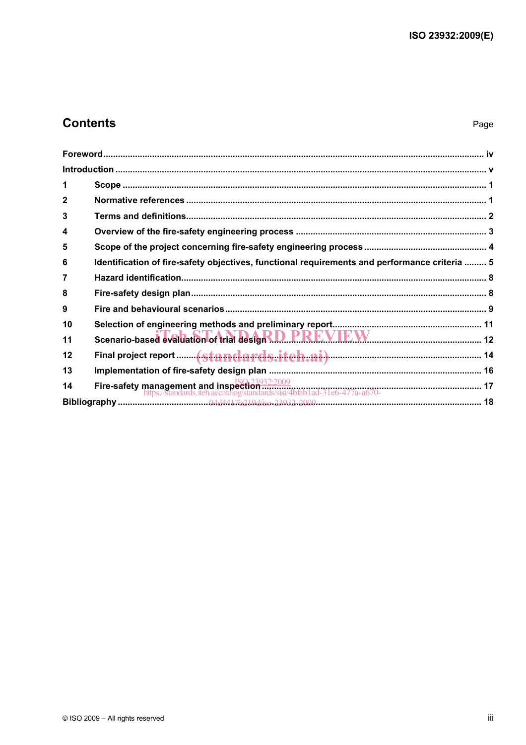## **Contents**

### Page

| 1              |                                                                                               |  |
|----------------|-----------------------------------------------------------------------------------------------|--|
| $\overline{2}$ |                                                                                               |  |
| 3              |                                                                                               |  |
| 4              |                                                                                               |  |
| 5              |                                                                                               |  |
| 6              | Identification of fire-safety objectives, functional requirements and performance criteria  5 |  |
| $\overline{7}$ |                                                                                               |  |
| 8              |                                                                                               |  |
| 9              |                                                                                               |  |
| 10             |                                                                                               |  |
| 11             | Scenario-based evaluation of trial design D PREVIEW                                           |  |
| 12             |                                                                                               |  |
| 13             |                                                                                               |  |
| 14             |                                                                                               |  |
|                |                                                                                               |  |
|                |                                                                                               |  |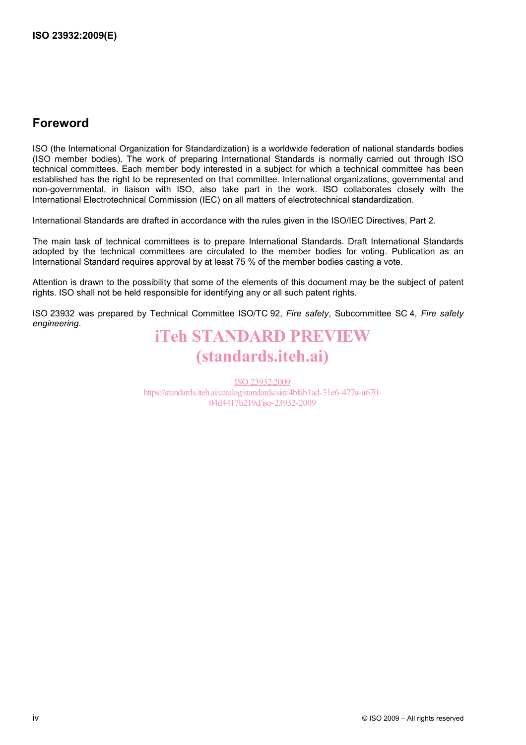### **Foreword**

ISO (the International Organization for Standardization) is a worldwide federation of national standards bodies (ISO member bodies). The work of preparing International Standards is normally carried out through ISO technical committees. Each member body interested in a subject for which a technical committee has been established has the right to be represented on that committee. International organizations, governmental and non-governmental, in liaison with ISO, also take part in the work. ISO collaborates closely with the International Electrotechnical Commission (IEC) on all matters of electrotechnical standardization.

International Standards are drafted in accordance with the rules given in the ISO/IEC Directives, Part 2.

The main task of technical committees is to prepare International Standards. Draft International Standards adopted by the technical committees are circulated to the member bodies for voting. Publication as an International Standard requires approval by at least 75 % of the member bodies casting a vote.

Attention is drawn to the possibility that some of the elements of this document may be the subject of patent rights. ISO shall not be held responsible for identifying any or all such patent rights.

ISO 23932 was prepared by Technical Committee ISO/TC 92, *Fire safety*, Subcommittee SC 4, *Fire safety engineering*.

# iTeh STANDARD PREVIEW (standards.iteh.ai)

ISO 23932:2009 https://standards.iteh.ai/catalog/standards/sist/4bfab1ad-31e6-477a-a670- 04d4417b219d/iso-23932-2009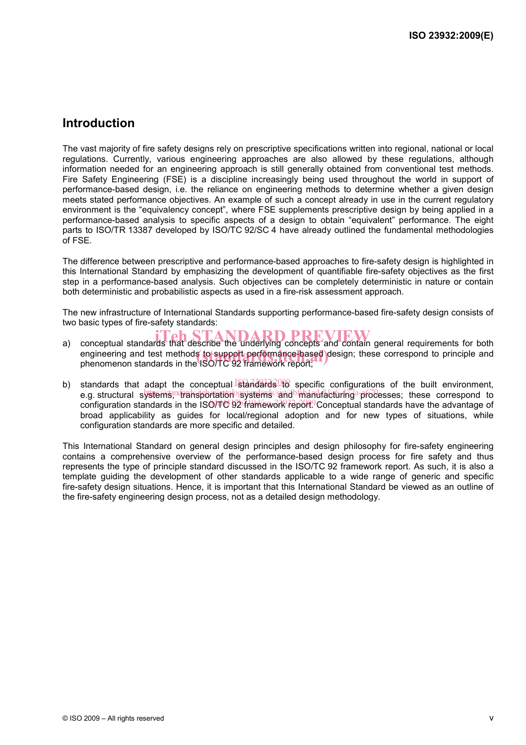### **Introduction**

The vast majority of fire safety designs rely on prescriptive specifications written into regional, national or local regulations. Currently, various engineering approaches are also allowed by these regulations, although information needed for an engineering approach is still generally obtained from conventional test methods. Fire Safety Engineering (FSE) is a discipline increasingly being used throughout the world in support of performance-based design, i.e. the reliance on engineering methods to determine whether a given design meets stated performance objectives. An example of such a concept already in use in the current regulatory environment is the "equivalency concept", where FSE supplements prescriptive design by being applied in a performance-based analysis to specific aspects of a design to obtain "equivalent" performance. The eight parts to ISO/TR 13387 developed by ISO/TC 92/SC 4 have already outlined the fundamental methodologies of FSE.

The difference between prescriptive and performance-based approaches to fire-safety design is highlighted in this International Standard by emphasizing the development of quantifiable fire-safety objectives as the first step in a performance-based analysis. Such objectives can be completely deterministic in nature or contain both deterministic and probabilistic aspects as used in a fire-risk assessment approach.

The new infrastructure of International Standards supporting performance-based fire-safety design consists of two basic types of fire-safety standards:

- a) conceptual standards that describe the underlying concepts and contain general requirements for both engineering and test methods to support performance-based design; these correspond to principle and<br>phenomenon standards in the ISO/TC 92 tramework report: phenomenon standards in the ISO/TC 92 framework report;
- b) standards that adapt the conceptual standards to specific configurations of the built environment, e.g. structural systems, transportation systems and manufacturing processes; these correspond to configuration standards in the ISO/TC 92 framework report? Conceptual standards have the advantage of broad applicability as guides for local/regional adoption and for new types of situations, while configuration standards are more specific and detailed.

This International Standard on general design principles and design philosophy for fire-safety engineering contains a comprehensive overview of the performance-based design process for fire safety and thus represents the type of principle standard discussed in the ISO/TC 92 framework report. As such, it is also a template guiding the development of other standards applicable to a wide range of generic and specific fire-safety design situations. Hence, it is important that this International Standard be viewed as an outline of the fire-safety engineering design process, not as a detailed design methodology.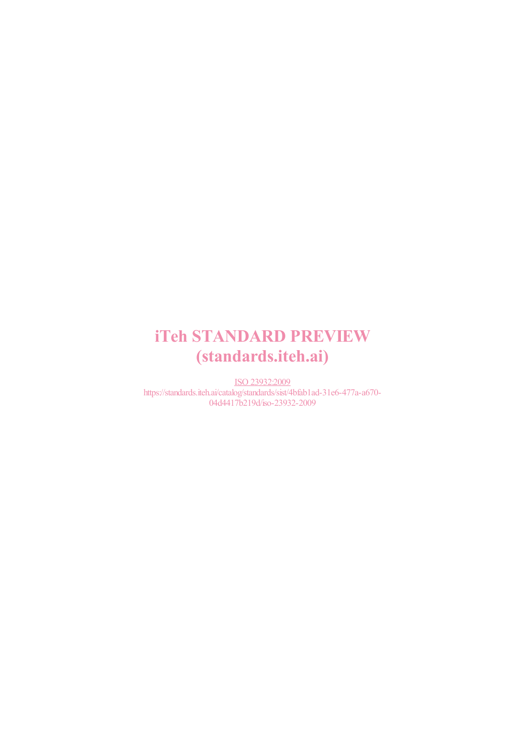# iTeh STANDARD PREVIEW (standards.iteh.ai)

ISO 23932:2009 https://standards.iteh.ai/catalog/standards/sist/4bfab1ad-31e6-477a-a670- 04d4417b219d/iso-23932-2009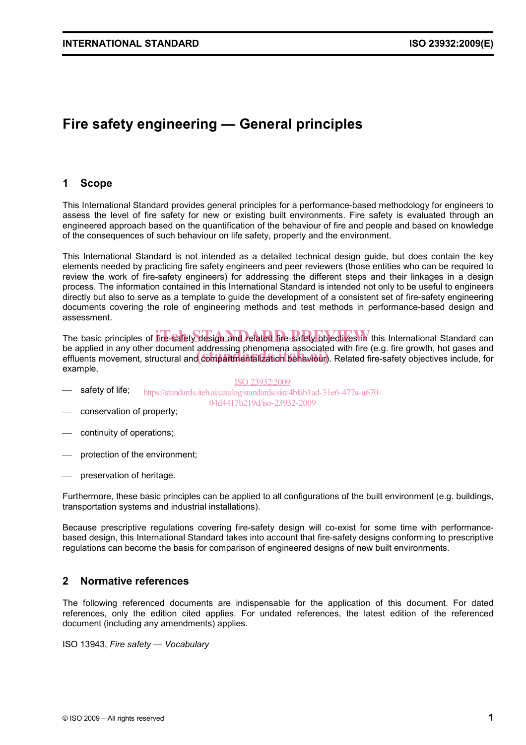# **Fire safety engineering — General principles**

#### **1 Scope**

This International Standard provides general principles for a performance-based methodology for engineers to assess the level of fire safety for new or existing built environments. Fire safety is evaluated through an engineered approach based on the quantification of the behaviour of fire and people and based on knowledge of the consequences of such behaviour on life safety, property and the environment.

This International Standard is not intended as a detailed technical design guide, but does contain the key elements needed by practicing fire safety engineers and peer reviewers (those entities who can be required to review the work of fire-safety engineers) for addressing the different steps and their linkages in a design process. The information contained in this International Standard is intended not only to be useful to engineers directly but also to serve as a template to guide the development of a consistent set of fire-safety engineering documents covering the role of engineering methods and test methods in performance-based design and assessment.

The basic principles of fire-safety design and related fire-safety objectives in this International Standard can be applied in any other document addressing phenomena associated with fire (e.g. fire growth, hot gases and be applied in any other document addressing phenomena associated with fire (e.g. fire growth, not gases and<br>effluents movement, structural and compartmentalization behaviour). Related fire-safety objectives include, for example,

- $-$  safety of life; ISO 23932:2009 https://standards.iteh.ai/catalog/standards/sist/4bfab1ad-31e6-477a-a670- 04d4417b219d/iso-23932-2009
- conservation of property;
- continuity of operations;
- protection of the environment;
- preservation of heritage.

Furthermore, these basic principles can be applied to all configurations of the built environment (e.g. buildings, transportation systems and industrial installations).

Because prescriptive regulations covering fire-safety design will co-exist for some time with performancebased design, this International Standard takes into account that fire-safety designs conforming to prescriptive regulations can become the basis for comparison of engineered designs of new built environments.

#### **2 Normative references**

The following referenced documents are indispensable for the application of this document. For dated references, only the edition cited applies. For undated references, the latest edition of the referenced document (including any amendments) applies.

ISO 13943, *Fire safety — Vocabulary*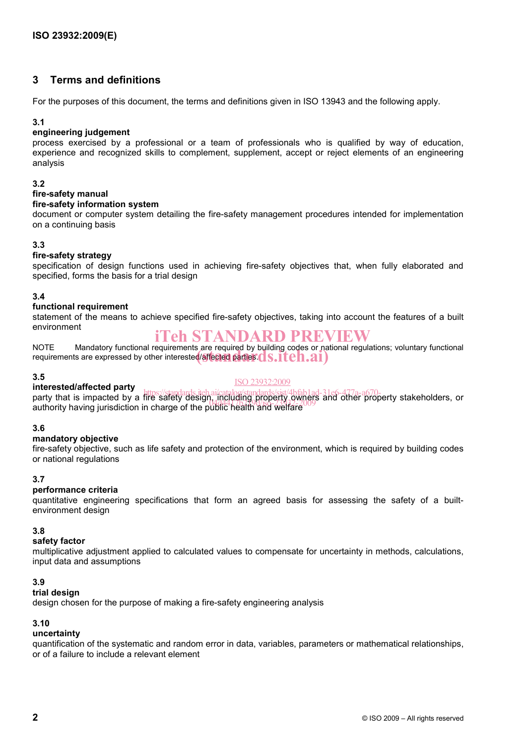### **3 Terms and definitions**

For the purposes of this document, the terms and definitions given in ISO 13943 and the following apply.

#### **3.1**

#### **engineering judgement**

process exercised by a professional or a team of professionals who is qualified by way of education, experience and recognized skills to complement, supplement, accept or reject elements of an engineering analysis

#### **3.2**

#### **fire-safety manual**

#### **fire-safety information system**

document or computer system detailing the fire-safety management procedures intended for implementation on a continuing basis

#### **3.3**

#### **fire-safety strategy**

specification of design functions used in achieving fire-safety objectives that, when fully elaborated and specified, forms the basis for a trial design

#### **3.4**

#### **functional requirement**

statement of the means to achieve specified fire-safety objectives, taking into account the features of a built environment

### iTeh STANDARD PREVIEW

NOTE Mandatory functional requirements are required by building codes or national regulations; voluntary functional NOTE Mandalory functional requirements are required by building codes of that<br>requirements are expressed by other interested/affected parties. **CS.ITEN.ai**)

#### **3.5**

#### **interested/affected party**

#### ISO 23932:2009

mieresteuranected party<br>party that is impacted by a fire safety design, including property owners and other property stakeholders, or party that is impacted by a me salety design, implying property, owner,<br>authority having jurisdiction in charge of the public health and welfare

#### **3.6**

#### **mandatory objective**

fire-safety objective, such as life safety and protection of the environment, which is required by building codes or national regulations

#### **3.7**

#### **performance criteria**

quantitative engineering specifications that form an agreed basis for assessing the safety of a builtenvironment design

#### **3.8**

#### **safety factor**

multiplicative adjustment applied to calculated values to compensate for uncertainty in methods, calculations, input data and assumptions

#### **3.9**

#### **trial design**

design chosen for the purpose of making a fire-safety engineering analysis

#### **3.10**

#### **uncertainty**

quantification of the systematic and random error in data, variables, parameters or mathematical relationships, or of a failure to include a relevant element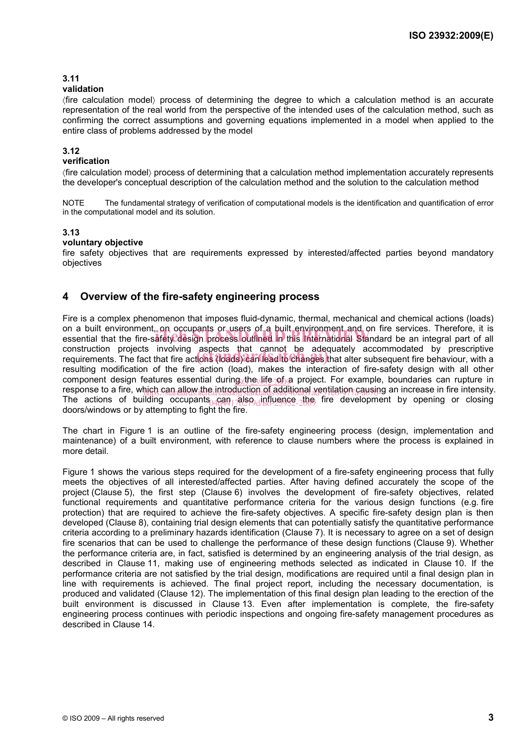#### **3.11**

#### **validation**

〈fire calculation model〉 process of determining the degree to which a calculation method is an accurate representation of the real world from the perspective of the intended uses of the calculation method, such as confirming the correct assumptions and governing equations implemented in a model when applied to the entire class of problems addressed by the model

#### **3.12**

#### **verification**

〈fire calculation model〉 process of determining that a calculation method implementation accurately represents the developer's conceptual description of the calculation method and the solution to the calculation method

NOTE The fundamental strategy of verification of computational models is the identification and quantification of error in the computational model and its solution.

#### **3.13**

#### **voluntary objective**

fire safety objectives that are requirements expressed by interested/affected parties beyond mandatory objectives

#### **4 Overview of the fire-safety engineering process**

Fire is a complex phenomenon that imposes fluid-dynamic, thermal, mechanical and chemical actions (loads) on a built environment, on occupants or users of a built environment and on fire services. Therefore, it is on a built environment, on occupants of users of a built environment and on the services. Therefore, it is<br>essential that the fire-safety design process outlined in this International Standard be an integral part of all construction projects involving aspects that cannot be adequately accommodated by prescriptive construction projects involving aspects that cannot be adequately accommodated by prescriptive<br>requirements. The fact that fire actions (loads) can lead to changes that alter subsequent fire behaviour, with a resulting modification of the fire action (load), makes the interaction of fire-safety design with all other component design features essential during the life of a project. For example, boundaries can rupture in response to a fire, which can allow the introduction of additional ventilation causing an increase in fire intensity. The actions of building occupants  $q^{\text{cap}}_1$  also influence the fire development by opening or closing doors/windows or by attempting to fight the fire.

The chart in Figure 1 is an outline of the fire-safety engineering process (design, implementation and maintenance) of a built environment, with reference to clause numbers where the process is explained in more detail.

Figure 1 shows the various steps required for the development of a fire-safety engineering process that fully meets the objectives of all interested/affected parties. After having defined accurately the scope of the project (Clause 5), the first step (Clause 6) involves the development of fire-safety objectives, related functional requirements and quantitative performance criteria for the various design functions (e.g. fire protection) that are required to achieve the fire-safety objectives. A specific fire-safety design plan is then developed (Clause 8), containing trial design elements that can potentially satisfy the quantitative performance criteria according to a preliminary hazards identification (Clause 7). It is necessary to agree on a set of design fire scenarios that can be used to challenge the performance of these design functions (Clause 9). Whether the performance criteria are, in fact, satisfied is determined by an engineering analysis of the trial design, as described in Clause 11, making use of engineering methods selected as indicated in Clause 10. If the performance criteria are not satisfied by the trial design, modifications are required until a final design plan in line with requirements is achieved. The final project report, including the necessary documentation, is produced and validated (Clause 12). The implementation of this final design plan leading to the erection of the built environment is discussed in Clause 13. Even after implementation is complete, the fire-safety engineering process continues with periodic inspections and ongoing fire-safety management procedures as described in Clause 14.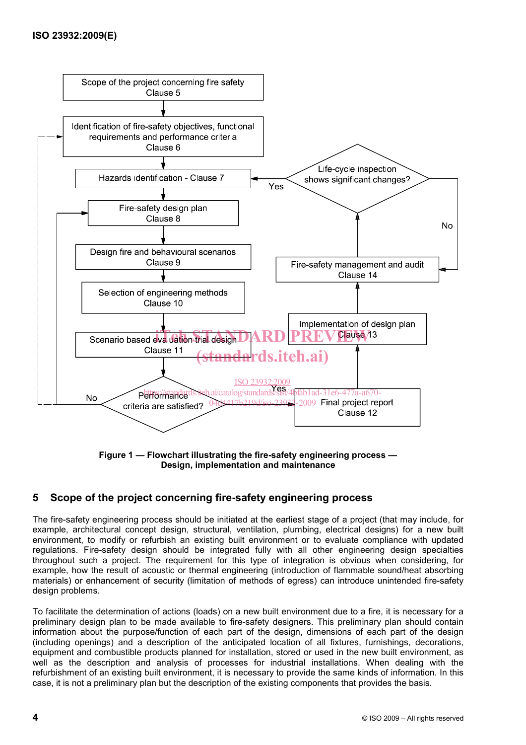

**Figure 1 — Flowchart illustrating the fire-safety engineering process — Design, implementation and maintenance** 

### **5 Scope of the project concerning fire-safety engineering process**

The fire-safety engineering process should be initiated at the earliest stage of a project (that may include, for example, architectural concept design, structural, ventilation, plumbing, electrical designs) for a new built environment, to modify or refurbish an existing built environment or to evaluate compliance with updated regulations. Fire-safety design should be integrated fully with all other engineering design specialties throughout such a project. The requirement for this type of integration is obvious when considering, for example, how the result of acoustic or thermal engineering (introduction of flammable sound/heat absorbing materials) or enhancement of security (limitation of methods of egress) can introduce unintended fire-safety design problems.

To facilitate the determination of actions (loads) on a new built environment due to a fire, it is necessary for a preliminary design plan to be made available to fire-safety designers. This preliminary plan should contain information about the purpose/function of each part of the design, dimensions of each part of the design (including openings) and a description of the anticipated location of all fixtures, furnishings, decorations, equipment and combustible products planned for installation, stored or used in the new built environment, as well as the description and analysis of processes for industrial installations. When dealing with the refurbishment of an existing built environment, it is necessary to provide the same kinds of information. In this case, it is not a preliminary plan but the description of the existing components that provides the basis.